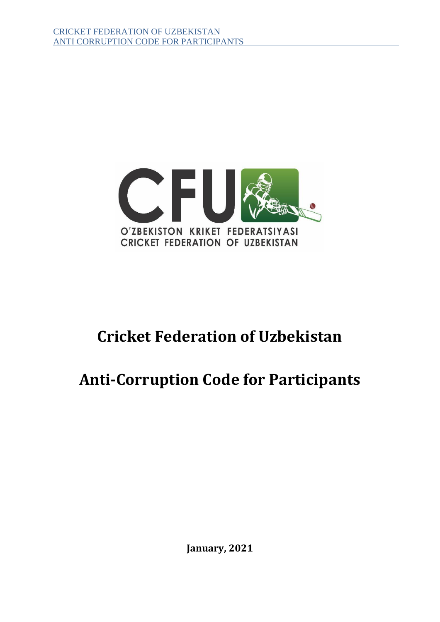

# **Cricket Federation of Uzbekistan**

# **Anti-Corruption Code for Participants**

**January, 2021**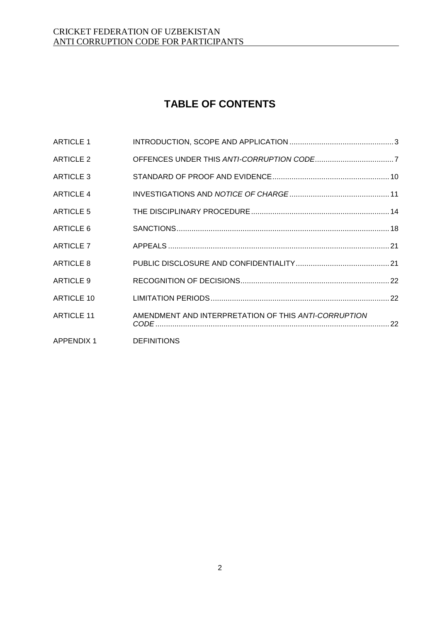## **TABLE OF CONTENTS**

| <b>ARTICLE 1</b>  |                                                      |  |
|-------------------|------------------------------------------------------|--|
| <b>ARTICLE 2</b>  |                                                      |  |
| <b>ARTICLE 3</b>  |                                                      |  |
| <b>ARTICLE 4</b>  |                                                      |  |
| <b>ARTICLE 5</b>  |                                                      |  |
| ARTICLE 6         |                                                      |  |
| <b>ARTICLE 7</b>  |                                                      |  |
| ARTICLE 8         |                                                      |  |
| <b>ARTICLE 9</b>  |                                                      |  |
| <b>ARTICLE 10</b> |                                                      |  |
| <b>ARTICLE 11</b> | AMENDMENT AND INTERPRETATION OF THIS ANTI-CORRUPTION |  |
| APPENDIX 1        | <b>DEFINITIONS</b>                                   |  |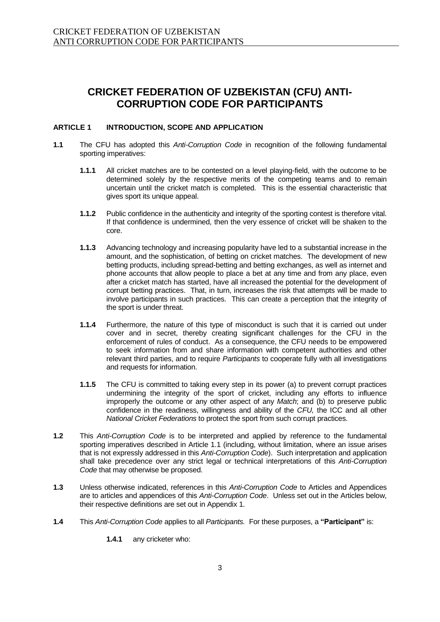### **CRICKET FEDERATION OF UZBEKISTAN (CFU) ANTI-CORRUPTION CODE FOR PARTICIPANTS**

#### **ARTICLE 1 INTRODUCTION, SCOPE AND APPLICATION**

- **1.1** The CFU has adopted this *Anti-Corruption Code* in recognition of the following fundamental sporting imperatives:
	- **1.1.1** All cricket matches are to be contested on a level playing-field, with the outcome to be determined solely by the respective merits of the competing teams and to remain uncertain until the cricket match is completed. This is the essential characteristic that gives sport its unique appeal.
	- **1.1.2** Public confidence in the authenticity and integrity of the sporting contest is therefore vital. If that confidence is undermined, then the very essence of cricket will be shaken to the core.
	- **1.1.3** Advancing technology and increasing popularity have led to a substantial increase in the amount, and the sophistication, of betting on cricket matches. The development of new betting products, including spread-betting and betting exchanges, as well as internet and phone accounts that allow people to place a bet at any time and from any place, even after a cricket match has started, have all increased the potential for the development of corrupt betting practices. That, in turn, increases the risk that attempts will be made to involve participants in such practices. This can create a perception that the integrity of the sport is under threat.
	- **1.1.4** Furthermore, the nature of this type of misconduct is such that it is carried out under cover and in secret, thereby creating significant challenges for the CFU in the enforcement of rules of conduct. As a consequence, the CFU needs to be empowered to seek information from and share information with competent authorities and other relevant third parties, and to require *Participants* to cooperate fully with all investigations and requests for information.
	- **1.1.5** The CFU is committed to taking every step in its power (a) to prevent corrupt practices undermining the integrity of the sport of cricket, including any efforts to influence improperly the outcome or any other aspect of any *Match*; and (b) to preserve public confidence in the readiness, willingness and ability of the *CFU,* the ICC and all other *National Cricket Federations* to protect the sport from such corrupt practices.
- **1.2** This *Anti-Corruption Code* is to be interpreted and applied by reference to the fundamental sporting imperatives described in Article 1.1 (including, without limitation, where an issue arises that is not expressly addressed in this *Anti-Corruption Code*). Such interpretation and application shall take precedence over any strict legal or technical interpretations of this *Anti-Corruption Code* that may otherwise be proposed.
- **1.3** Unless otherwise indicated, references in this *Anti-Corruption Code* to Articles and Appendices are to articles and appendices of this *Anti-Corruption Code*. Unless set out in the Articles below, their respective definitions are set out in Appendix 1.
- **1.4** This *Anti-Corruption Code* applies to all *Participants.* For these purposes, a **"Participant"** is:

**1.4.1** any cricketer who: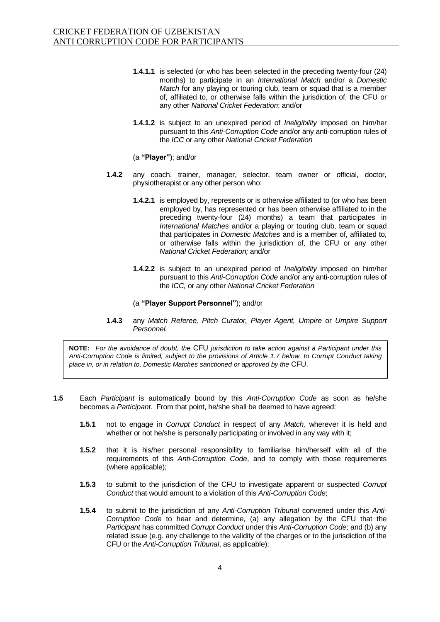- **1.4.1.1** is selected (or who has been selected in the preceding twenty-four (24) months) to participate in an *International Match* and/or a *Domestic Match* for any playing or touring club, team or squad that is a member of, affiliated to, or otherwise falls within the jurisdiction of, the CFU or any other *National Cricket Federation*; and/or
- **1.4.1.2** is subject to an unexpired period of *Ineligibility* imposed on him/her pursuant to this *Anti-Corruption Code* and/or any anti-corruption rules of the *ICC* or any other *National Cricket Federation*

(a **"Player"**); and/or

- **1.4.2** any coach, trainer, manager, selector, team owner or official, doctor, physiotherapist or any other person who:
	- **1.4.2.1** is employed by, represents or is otherwise affiliated to (or who has been employed by, has represented or has been otherwise affiliated to in the preceding twenty-four (24) months) a team that participates in *International Matches* and/or a playing or touring club, team or squad that participates in *Domestic Matches* and is a member of, affiliated to, or otherwise falls within the jurisdiction of, the CFU or any other *National Cricket Federation;* and/or
	- **1.4.2.2** is subject to an unexpired period of *Ineligibility* imposed on him/her pursuant to this *Anti-Corruption Code* and/or any anti-corruption rules of the *ICC,* or any other *National Cricket Federation*
	- (a **"Player Support Personnel"**); and/or
- **1.4.3** any *Match Referee, Pitch Curator, Player Agent, Umpire* or *Umpire Support Personnel.*

**NOTE:** *For the avoidance of doubt, the* CFU *jurisdiction to take action against a Participant under this Anti-Corruption Code is limited, subject to the provisions of Article 1.7 below, to Corrupt Conduct taking place in, or in relation to, Domestic Matches sanctioned or approved by the* CFU.

- **1.5** Each *Participant* is automatically bound by this *Anti-Corruption Code* as soon as he/she becomes a *Participant.* From that point, he/she shall be deemed to have agreed:
	- **1.5.1** not to engage in *Corrupt Conduct* in respect of any *Match,* wherever it is held and whether or not he/she is personally participating or involved in any way with it;
	- **1.5.2** that it is his/her personal responsibility to familiarise him/herself with all of the requirements of this *Anti-Corruption Code*, and to comply with those requirements (where applicable);
	- **1.5.3** to submit to the jurisdiction of the CFU to investigate apparent or suspected *Corrupt Conduct* that would amount to a violation of this *Anti-Corruption Code*;
	- **1.5.4** to submit to the jurisdiction of any *Anti-Corruption Tribunal* convened under this *Anti-Corruption Code* to hear and determine, (a) any allegation by the CFU that the *Participant* has committed *Corrupt Conduct* under this *Anti-Corruption Code*; and (b) any related issue (e.g. any challenge to the validity of the charges or to the jurisdiction of the CFU or the *Anti-Corruption Tribunal*, as applicable);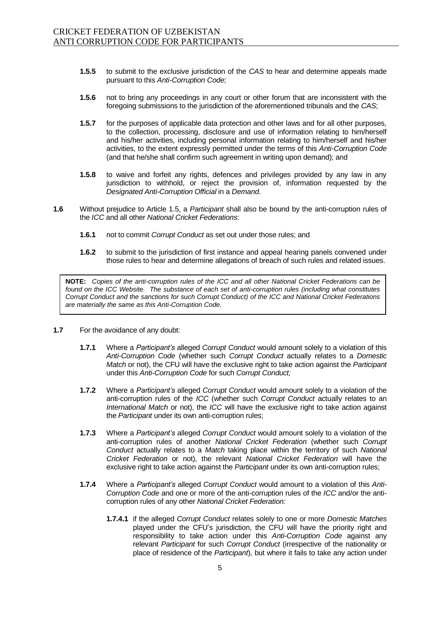- **1.5.5** to submit to the exclusive jurisdiction of the *CAS* to hear and determine appeals made pursuant to this *Anti-Corruption Code*;
- **1.5.6** not to bring any proceedings in any court or other forum that are inconsistent with the foregoing submissions to the jurisdiction of the aforementioned tribunals and the *CAS*;
- **1.5.7** for the purposes of applicable data protection and other laws and for all other purposes, to the collection, processing, disclosure and use of information relating to him/herself and his/her activities, including personal information relating to him/herself and his/her activities, to the extent expressly permitted under the terms of this *Anti-Corruption Code* (and that he/she shall confirm such agreement in writing upon demand); and
- **1.5.8** to waive and forfeit any rights, defences and privileges provided by any law in any jurisdiction to withhold, or reject the provision of, information requested by the *Designated Anti-Corruption Official* in a *Demand*.
- **1.6** Without prejudice to Article 1.5, a *Participant* shall also be bound by the anti-corruption rules of the *ICC* and all other *National Cricket Federations*:
	- **1.6.1** not to commit *Corrupt Conduct* as set out under those rules; and
	- **1.6.2** to submit to the jurisdiction of first instance and appeal hearing panels convened under those rules to hear and determine allegations of breach of such rules and related issues.

**NOTE:** *Copies of the anti-corruption rules of the ICC and all other National Cricket Federations can be found on the ICC Website. The substance of each set of anti-corruption rules (including what constitutes Corrupt Conduct and the sanctions for such Corrupt Conduct) of the ICC and National Cricket Federations are materially the same as this Anti-Corruption Code.* 

- **1.7** For the avoidance of any doubt:
	- **1.7.1** Where a *Participant's* alleged *Corrupt Conduct* would amount solely to a violation of this *Anti-Corruption Code* (whether such *Corrupt Conduct* actually relates to a *Domestic Match* or not), the CFU will have the exclusive right to take action against the *Participant*  under this *Anti-Corruption Code* for such *Corrupt Conduct;*
	- **1.7.2** Where a *Participant's* alleged *Corrupt Conduct* would amount solely to a violation of the anti-corruption rules of the *ICC* (whether such *Corrupt Conduct* actually relates to an *International Match* or not), the *ICC* will have the exclusive right to take action against the *Participant* under its own anti-corruption rules;
	- **1.7.3** Where a *Participant's* alleged *Corrupt Conduct* would amount solely to a violation of the anti-corruption rules of another *National Cricket Federation* (whether such *Corrupt Conduct* actually relates to a *Match* taking place within the territory of such *National Cricket Federation* or not), the relevant *National Cricket Federation* will have the exclusive right to take action against the *Participant* under its own anti-corruption rules;
	- **1.7.4** Where a *Participant's* alleged *Corrupt Conduct* would amount to a violation of this *Anti-Corruption Code* and one or more of the anti-corruption rules of the *ICC* and/or the anticorruption rules of any other *National Cricket Federation:*
		- **1.7.4.1** if the alleged *Corrupt Conduct* relates solely to one or more *Domestic Matches*  played under the CFU's jurisdiction, the CFU will have the priority right and responsibility to take action under this *Anti-Corruption Code* against any relevant *Participant* for such *Corrupt Conduct* (irrespective of the nationality or place of residence of the *Participant*), but where it fails to take any action under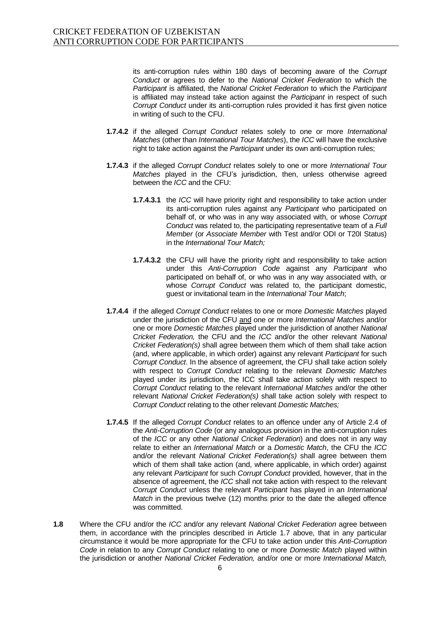its anti-corruption rules within 180 days of becoming aware of the *Corrupt Conduct* or agrees to defer to the *National Cricket Federation* to which the *Participant* is affiliated, the *National Cricket Federation* to which the *Participant*  is affiliated may instead take action against the *Participant* in respect of such *Corrupt Conduct* under its anti-corruption rules provided it has first given notice in writing of such to the CFU.

- **1.7.4.2** if the alleged *Corrupt Conduct* relates solely to one or more *International Matches* (other than *International Tour Matches*), the *ICC* will have the exclusive right to take action against the *Participant* under its own anti-corruption rules;
- **1.7.4.3** if the alleged *Corrupt Conduct* relates solely to one or more *International Tour Matches* played in the CFU's jurisdiction, then, unless otherwise agreed between the *ICC* and the CFU:
	- **1.7.4.3.1** the *ICC* will have priority right and responsibility to take action under its anti-corruption rules against any *Participant* who participated on behalf of, or who was in any way associated with, or whose *Corrupt Conduct* was related to, the participating representative team of a *Full Member* (or *Associate Member* with Test and/or ODI or T20I Status) in the *International Tour Match;*
	- **1.7.4.3.2** the CFU will have the priority right and responsibility to take action under this *Anti-Corruption Code* against any *Participant* who participated on behalf of, or who was in any way associated with, or whose *Corrupt Conduct* was related to, the participant domestic, guest or invitational team in the *International Tour Match*;
- **1.7.4.4** if the alleged *Corrupt Conduct* relates to one or more *Domestic Matches* played under the jurisdiction of the CFU and one or more *International Matches* and/or one or more *Domestic Matches* played under the jurisdiction of another *National Cricket Federation,* the CFU and the *ICC* and/or the other relevant *National Cricket Federation(s)* shall agree between them which of them shall take action (and, where applicable, in which order) against any relevant *Participant* for such *Corrupt Conduct*. In the absence of agreement, the CFU shall take action solely with respect to *Corrupt Conduct* relating to the relevant *Domestic Matches*  played under its jurisdiction, the ICC shall take action solely with respect to *Corrupt Conduct* relating to the relevant *International Matches* and/or the other relevant *National Cricket Federation(s)* shall take action solely with respect to *Corrupt Conduct* relating to the other relevant *Domestic Matches;*
- **1.7.4.5** If the alleged *Corrupt Conduct* relates to an offence under any of Article 2.4 of the *Anti-Corruption Code* (or any analogous provision in the anti-corruption rules of the *ICC* or any other *National Cricket Federation*) and does not in any way relate to either an *International Match* or a *Domestic Match*, the CFU the *ICC*  and/or the relevant *National Cricket Federation(s)* shall agree between them which of them shall take action (and, where applicable, in which order) against any relevant *Participant* for such *Corrupt Conduct* provided, however, that in the absence of agreement, the *ICC* shall not take action with respect to the relevant *Corrupt Conduct* unless the relevant *Participant* has played in an *International Match* in the previous twelve (12) months prior to the date the alleged offence was committed.
- **1.8** Where the CFU and/or the *ICC* and/or any relevant *National Cricket Federation* agree between them, in accordance with the principles described in Article 1.7 above, that in any particular circumstance it would be more appropriate for the CFU to take action under this *Anti-Corruption Code* in relation to any *Corrupt Conduct* relating to one or more *Domestic Match* played within the jurisdiction or another *National Cricket Federation,* and/or one or more *International Match,*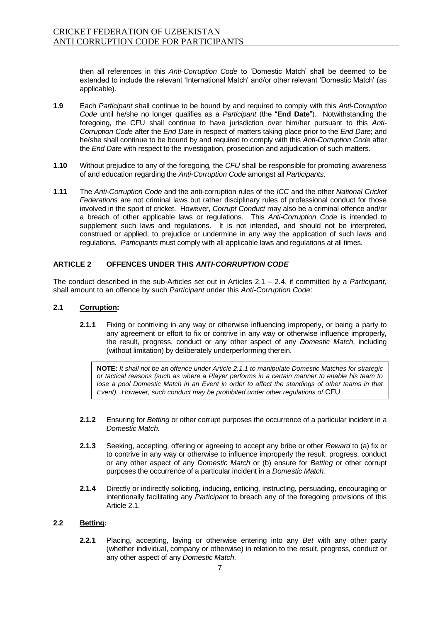then all references in this *Anti-Corruption Code* to 'Domestic Match' shall be deemed to be extended to include the relevant 'International Match' and/or other relevant 'Domestic Match' (as applicable).

- **1.9** Each *Participant* shall continue to be bound by and required to comply with this *Anti-Corruption Code* until he/she no longer qualifies as a *Participant* (the "**End Date**"). Notwithstanding the foregoing, the CFU shall continue to have jurisdiction over him/her pursuant to this *Anti-Corruption Code* after the *End Date* in respect of matters taking place prior to the *End Date*; and he/she shall continue to be bound by and required to comply with this *Anti-Corruption Code* after the *End Date* with respect to the investigation, prosecution and adjudication of such matters.
- **1.10** Without prejudice to any of the foregoing, the *CFU* shall be responsible for promoting awareness of and education regarding the *Anti-Corruption Code* amongst all *Participants*.
- **1.11** The *Anti-Corruption Code* and the anti-corruption rules of the *ICC* and the other *National Cricket Federations* are not criminal laws but rather disciplinary rules of professional conduct for those involved in the sport of cricket. However, *Corrupt Conduct* may also be a criminal offence and/or a breach of other applicable laws or regulations. This *Anti-Corruption Code* is intended to supplement such laws and regulations. It is not intended, and should not be interpreted, construed or applied, to prejudice or undermine in any way the application of such laws and regulations. *Participants* must comply with all applicable laws and regulations at all times.

#### **ARTICLE 2 OFFENCES UNDER THIS** *ANTI-CORRUPTION CODE*

The conduct described in the sub-Articles set out in Articles 2.1 – 2.4, if committed by a *Participant,* shall amount to an offence by such *Participant* under this *Anti-Corruption Code*:

#### **2.1 Corruption:**

**2.1.1** Fixing or contriving in any way or otherwise influencing improperly, or being a party to any agreement or effort to fix or contrive in any way or otherwise influence improperly, the result, progress, conduct or any other aspect of any *Domestic Match*, including (without limitation) by deliberately underperforming therein.

**NOTE:** *It shall not be an offence under Article 2.1.1 to manipulate Domestic Matches for strategic or tactical reasons (such as where a Player performs in a certain manner to enable his team to lose a pool Domestic Match in an Event in order to affect the standings of other teams in that Event*). However, such conduct may be prohibited under other regulations of CFU

- **2.1.2** Ensuring for *Betting* or other corrupt purposes the occurrence of a particular incident in a *Domestic Match.*
- **2.1.3** Seeking, accepting, offering or agreeing to accept any bribe or other *Reward* to (a) fix or to contrive in any way or otherwise to influence improperly the result, progress, conduct or any other aspect of any *Domestic Match* or (b) ensure for *Betting* or other corrupt purposes the occurrence of a particular incident in a *Domestic Match.*
- **2.1.4** Directly or indirectly soliciting, inducing, enticing, instructing, persuading, encouraging or intentionally facilitating any *Participant* to breach any of the foregoing provisions of this Article 2.1.

#### **2.2 Betting:**

**2.2.1** Placing, accepting, laying or otherwise entering into any *Bet* with any other party (whether individual, company or otherwise) in relation to the result, progress, conduct or any other aspect of any *Domestic Match*.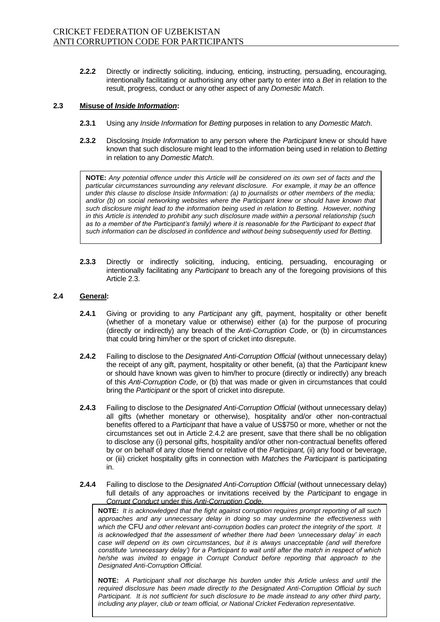**2.2.2** Directly or indirectly soliciting, inducing, enticing, instructing, persuading, encouraging, intentionally facilitating or authorising any other party to enter into a *Bet* in relation to the result, progress, conduct or any other aspect of any *Domestic Match*.

#### **2.3 Misuse of** *Inside Information***:**

- **2.3.1** Using any *Inside Information* for *Betting* purposes in relation to any *Domestic Match*.
- **2.3.2** Disclosing *Inside Information* to any person where the *Participant* knew or should have known that such disclosure might lead to the information being used in relation to *Betting* in relation to any *Domestic Match*.

**NOTE:** *Any potential offence under this Article will be considered on its own set of facts and the particular circumstances surrounding any relevant disclosure. For example, it may be an offence under this clause to disclose Inside Information: (a) to journalists or other members of the media; and/or (b) on social networking websites where the Participant knew or should have known that such disclosure might lead to the information being used in relation to Betting. However, nothing in this Article is intended to prohibit any such disclosure made within a personal relationship (such as to a member of the Participant's family) where it is reasonable for the Participant to expect that such information can be disclosed in confidence and without being subsequently used for Betting.* 

**2.3.3** Directly or indirectly soliciting, inducing, enticing, persuading, encouraging or intentionally facilitating any *Participant* to breach any of the foregoing provisions of this Article 2.3.

#### **2.4 General:**

- **2.4.1** Giving or providing to any *Participant* any gift, payment, hospitality or other benefit (whether of a monetary value or otherwise) either (a) for the purpose of procuring (directly or indirectly) any breach of the *Anti-Corruption Code*, or (b) in circumstances that could bring him/her or the sport of cricket into disrepute.
- **2.4.2** Failing to disclose to the *Designated Anti-Corruption Official* (without unnecessary delay) the receipt of any gift, payment, hospitality or other benefit, (a) that the *Participant* knew or should have known was given to him/her to procure (directly or indirectly) any breach of this *Anti-Corruption Code*, or (b) that was made or given in circumstances that could bring the *Participant* or the sport of cricket into disrepute.
- **2.4.3** Failing to disclose to the *Designated Anti-Corruption Official* (without unnecessary delay) all gifts (whether monetary or otherwise), hospitality and/or other non-contractual benefits offered to a *Participant* that have a value of US\$750 or more, whether or not the circumstances set out in Article 2.4.2 are present, save that there shall be no obligation to disclose any (i) personal gifts, hospitality and/or other non-contractual benefits offered by or on behalf of any close friend or relative of the *Participant,* (ii) any food or beverage, or (iii) cricket hospitality gifts in connection with *Matches* the *Participant* is participating in.
- **2.4.4** Failing to disclose to the *Designated Anti-Corruption Official* (without unnecessary delay) full details of any approaches or invitations received by the *Participant* to engage in *Corrupt Conduct* under this *Anti-Corruption Code*.

**NOTE:** *It is acknowledged that the fight against corruption requires prompt reporting of all such approaches and any unnecessary delay in doing so may undermine the effectiveness with which the* CFU *and other relevant anti-corruption bodies can protect the integrity of the sport. It is acknowledged that the assessment of whether there had been 'unnecessary delay' in each case will depend on its own circumstances, but it is always unacceptable (and will therefore constitute 'unnecessary delay') for a Participant to wait until after the match in respect of which he/she was invited to engage in Corrupt Conduct before reporting that approach to the Designated Anti-Corruption Official.*

**NOTE:** *A Participant shall not discharge his burden under this Article unless and until the required disclosure has been made directly to the Designated Anti-Corruption Official by such Participant. It is not sufficient for such disclosure to be made instead to any other third party, including any player, club or team official, or National Cricket Federation representative.*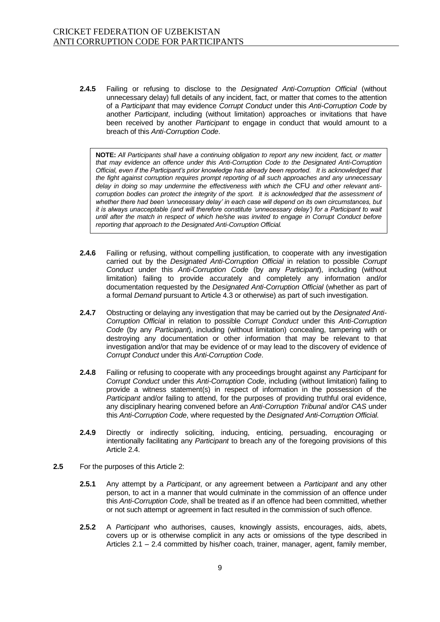**2.4.5** Failing or refusing to disclose to the *Designated Anti-Corruption Official* (without unnecessary delay) full details of any incident, fact, or matter that comes to the attention of a *Participant* that may evidence *Corrupt Conduct* under this *Anti-Corruption Code* by another *Participant*, including (without limitation) approaches or invitations that have been received by another *Participant* to engage in conduct that would amount to a breach of this *Anti-Corruption Code*.

**NOTE:** *All Participants shall have a continuing obligation to report any new incident, fact, or matter that may evidence an offence under this Anti-Corruption Code to the Designated Anti-Corruption Official, even if the Participant's prior knowledge has already been reported. It is acknowledged that the fight against corruption requires prompt reporting of all such approaches and any unnecessary delay in doing so may undermine the effectiveness with which the* CFU *and other relevant anti*corruption bodies can protect the integrity of the sport. It is acknowledged that the assessment of *whether there had been 'unnecessary delay' in each case will depend on its own circumstances, but it is always unacceptable (and will therefore constitute 'unnecessary delay') for a Participant to wait until after the match in respect of which he/she was invited to engage in Corrupt Conduct before reporting that approach to the Designated Anti-Corruption Official.*

- **2.4.6** Failing or refusing, without compelling justification, to cooperate with any investigation carried out by the *Designated Anti-Corruption Official* in relation to possible *Corrupt Conduct* under this *Anti-Corruption Code* (by any *Participant*), including (without limitation) failing to provide accurately and completely any information and/or documentation requested by the *Designated Anti-Corruption Official* (whether as part of a formal *Demand* pursuant to Article 4.3 or otherwise) as part of such investigation.
- **2.4.7** Obstructing or delaying any investigation that may be carried out by the *Designated Anti-Corruption Official* in relation to possible *Corrupt Conduct* under this *Anti-Corruption Code* (by any *Participant*), including (without limitation) concealing, tampering with or destroying any documentation or other information that may be relevant to that investigation and/or that may be evidence of or may lead to the discovery of evidence of *Corrupt Conduct* under this *Anti-Corruption Code*.
- **2.4.8** Failing or refusing to cooperate with any proceedings brought against any *Participant* for *Corrupt Conduct* under this *Anti-Corruption Code*, including (without limitation) failing to provide a witness statement(s) in respect of information in the possession of the *Participant* and/or failing to attend, for the purposes of providing truthful oral evidence, any disciplinary hearing convened before an *Anti-Corruption Tribunal* and/or *CAS* under this *Anti-Corruption Code*, where requested by the *Designated Anti-Corruption Official.*
- **2.4.9** Directly or indirectly soliciting, inducing, enticing, persuading, encouraging or intentionally facilitating any *Participant* to breach any of the foregoing provisions of this Article 2.4.
- **2.5** For the purposes of this Article 2:
	- **2.5.1** Any attempt by a *Participant*, or any agreement between a *Participant* and any other person, to act in a manner that would culminate in the commission of an offence under this *Anti-Corruption Code*, shall be treated as if an offence had been committed, whether or not such attempt or agreement in fact resulted in the commission of such offence.
	- **2.5.2** A *Participant* who authorises, causes, knowingly assists, encourages, aids, abets, covers up or is otherwise complicit in any acts or omissions of the type described in Articles 2.1 – 2.4 committed by his/her coach, trainer, manager, agent, family member,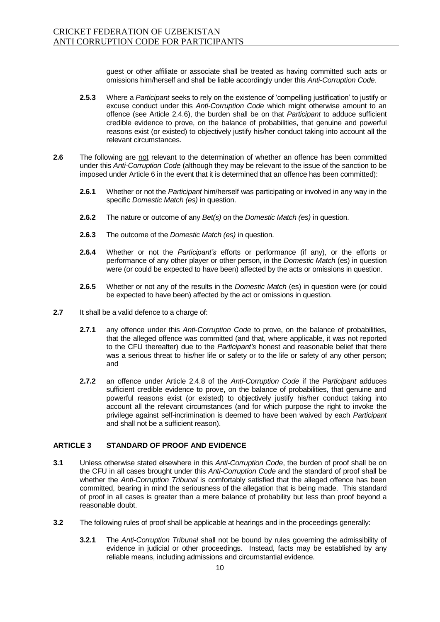guest or other affiliate or associate shall be treated as having committed such acts or omissions him/herself and shall be liable accordingly under this *Anti-Corruption Code*.

- **2.5.3** Where a *Participant* seeks to rely on the existence of 'compelling justification' to justify or excuse conduct under this *Anti-Corruption Code* which might otherwise amount to an offence (see Article 2.4.6), the burden shall be on that *Participant* to adduce sufficient credible evidence to prove, on the balance of probabilities, that genuine and powerful reasons exist (or existed) to objectively justify his/her conduct taking into account all the relevant circumstances.
- **2.6** The following are not relevant to the determination of whether an offence has been committed under this *Anti-Corruption Code* (although they may be relevant to the issue of the sanction to be imposed under Article 6 in the event that it is determined that an offence has been committed):
	- **2.6.1** Whether or not the *Participant* him/herself was participating or involved in any way in the specific *Domestic Match (es)* in question.
	- **2.6.2** The nature or outcome of any *Bet(s)* on the *Domestic Match (es)* in question.
	- **2.6.3** The outcome of the *Domestic Match (es)* in question.
	- **2.6.4** Whether or not the *Participant's* efforts or performance (if any), or the efforts or performance of any other player or other person, in the *Domestic Match* (es) in question were (or could be expected to have been) affected by the acts or omissions in question.
	- **2.6.5** Whether or not any of the results in the *Domestic Match* (es) in question were (or could be expected to have been) affected by the act or omissions in question.
- **2.7** It shall be a valid defence to a charge of:
	- **2.7.1** any offence under this *Anti-Corruption Code* to prove, on the balance of probabilities, that the alleged offence was committed (and that, where applicable, it was not reported to the CFU thereafter) due to the *Participant's* honest and reasonable belief that there was a serious threat to his/her life or safety or to the life or safety of any other person; and
	- **2.7.2** an offence under Article 2.4.8 of the *Anti-Corruption Code* if the *Participant* adduces sufficient credible evidence to prove, on the balance of probabilities, that genuine and powerful reasons exist (or existed) to objectively justify his/her conduct taking into account all the relevant circumstances (and for which purpose the right to invoke the privilege against self-incrimination is deemed to have been waived by each *Participant*  and shall not be a sufficient reason).

#### **ARTICLE 3 STANDARD OF PROOF AND EVIDENCE**

- **3.1** Unless otherwise stated elsewhere in this *Anti-Corruption Code*, the burden of proof shall be on the CFU in all cases brought under this *Anti-Corruption Code* and the standard of proof shall be whether the *Anti-Corruption Tribunal* is comfortably satisfied that the alleged offence has been committed, bearing in mind the seriousness of the allegation that is being made. This standard of proof in all cases is greater than a mere balance of probability but less than proof beyond a reasonable doubt.
- **3.2** The following rules of proof shall be applicable at hearings and in the proceedings generally:
	- **3.2.1** The *Anti-Corruption Tribunal* shall not be bound by rules governing the admissibility of evidence in judicial or other proceedings. Instead, facts may be established by any reliable means, including admissions and circumstantial evidence.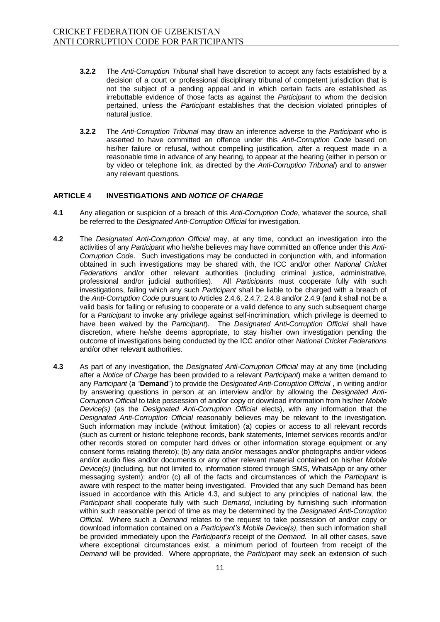- **3.2.2** The *Anti-Corruption Tribunal* shall have discretion to accept any facts established by a decision of a court or professional disciplinary tribunal of competent jurisdiction that is not the subject of a pending appeal and in which certain facts are established as irrebuttable evidence of those facts as against the *Participant* to whom the decision pertained, unless the *Participant* establishes that the decision violated principles of natural justice.
- **3.2.2** The *Anti-Corruption Tribunal* may draw an inference adverse to the *Participant* who is asserted to have committed an offence under this *Anti-Corruption Code* based on his/her failure or refusal, without compelling justification, after a request made in a reasonable time in advance of any hearing, to appear at the hearing (either in person or by video or telephone link, as directed by the *Anti-Corruption Tribunal*) and to answer any relevant questions.

#### **ARTICLE 4 INVESTIGATIONS AND** *NOTICE OF CHARGE*

- **4.1** Any allegation or suspicion of a breach of this *Anti-Corruption Code*, whatever the source, shall be referred to the *Designated Anti-Corruption Official* for investigation.
- **4.2** The *Designated Anti-Corruption Official* may, at any time, conduct an investigation into the activities of any *Participant* who he/she believes may have committed an offence under this *Anti-Corruption Code*. Such investigations may be conducted in conjunction with, and information obtained in such investigations may be shared with, the ICC and/or other *National Cricket Federations* and/or other relevant authorities (including criminal justice, administrative, professional and/or judicial authorities). All *Participants* must cooperate fully with such investigations, failing which any such *Participant* shall be liable to be charged with a breach of the *Anti-Corruption Code* pursuant to Articles 2.4.6, 2.4.7, 2.4.8 and/or 2.4.9 (and it shall not be a valid basis for failing or refusing to cooperate or a valid defence to any such subsequent charge for a *Participant* to invoke any privilege against self-incrimination, which privilege is deemed to have been waived by the *Participant*). The *Designated Anti-Corruption Official* shall have discretion, where he/she deems appropriate, to stay his/her own investigation pending the outcome of investigations being conducted by the ICC and/or other *National Cricket Federations* and/or other relevant authorities.
- **4.3** As part of any investigation, the *Designated Anti-Corruption Official* may at any time (including after a *Notice of Charge* has been provided to a relevant *Participant*) make a written demand to any *Participant* (a "**Demand**") to provide the *Designated Anti-Corruption Official* , in writing and/or by answering questions in person at an interview and/or by allowing the *Designated Anti-Corruption Official* to take possession of and/or copy or download information from his/her *Mobile Device(s)* (as the *Designated Anti-Corruption Official* elects), with any information that the *Designated Anti-Corruption Official* reasonably believes may be relevant to the investigation. Such information may include (without limitation) (a) copies or access to all relevant records (such as current or historic telephone records, bank statements, Internet services records and/or other records stored on computer hard drives or other information storage equipment or any consent forms relating thereto); (b) any data and/or messages and/or photographs and/or videos and/or audio files and/or documents or any other relevant material contained on his/her *Mobile Device(s)* (including, but not limited to, information stored through SMS, WhatsApp or any other messaging system); and/or (c) all of the facts and circumstances of which the *Participant* is aware with respect to the matter being investigated. Provided that any such Demand has been issued in accordance with this Article 4.3, and subject to any principles of national law, the *Participant* shall cooperate fully with such *Demand*, including by furnishing such information within such reasonable period of time as may be determined by the *Designated Anti-Corruption Official.* Where such a *Demand* relates to the request to take possession of and/or copy or download information contained on a *Participant's Mobile Device(s)*, then such information shall be provided immediately upon the *Participant's* receipt of the *Demand.* In all other cases, save where exceptional circumstances exist, a minimum period of fourteen from receipt of the *Demand* will be provided. Where appropriate, the *Participant* may seek an extension of such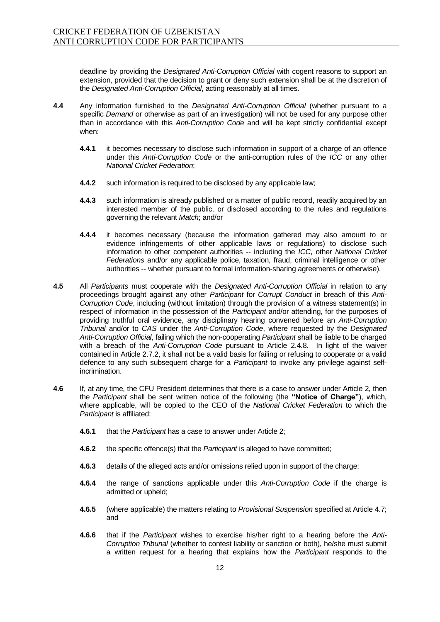deadline by providing the *Designated Anti-Corruption Official* with cogent reasons to support an extension, provided that the decision to grant or deny such extension shall be at the discretion of the *Designated Anti-Corruption Official*, acting reasonably at all times.

- **4.4** Any information furnished to the *Designated Anti-Corruption Official* (whether pursuant to a specific *Demand* or otherwise as part of an investigation) will not be used for any purpose other than in accordance with this *Anti-Corruption Code* and will be kept strictly confidential except when:
	- **4.4.1** it becomes necessary to disclose such information in support of a charge of an offence under this *Anti-Corruption Code* or the anti-corruption rules of the *ICC* or any other *National Cricket Federation*;
	- **4.4.2** such information is required to be disclosed by any applicable law;
	- **4.4.3** such information is already published or a matter of public record, readily acquired by an interested member of the public, or disclosed according to the rules and regulations governing the relevant *Match*; and/or
	- **4.4.4** it becomes necessary (because the information gathered may also amount to or evidence infringements of other applicable laws or regulations) to disclose such information to other competent authorities -- including the *ICC*, other *National Cricket Federations* and/or any applicable police, taxation, fraud, criminal intelligence or other authorities -- whether pursuant to formal information-sharing agreements or otherwise).
- **4.5** All *Participants* must cooperate with the *Designated Anti-Corruption Official* in relation to any proceedings brought against any other *Participant* for *Corrupt Conduct* in breach of this *Anti-Corruption Code*, including (without limitation) through the provision of a witness statement(s) in respect of information in the possession of the *Participant* and/or attending, for the purposes of providing truthful oral evidence, any disciplinary hearing convened before an *Anti-Corruption Tribunal* and/or to *CAS* under the *Anti-Corruption Code*, where requested by the *Designated Anti-Corruption Official*, failing which the non-cooperating *Participant* shall be liable to be charged with a breach of the *Anti-Corruption Code* pursuant to Article 2.4.8. In light of the waiver contained in Article 2.7.2, it shall not be a valid basis for failing or refusing to cooperate or a valid defence to any such subsequent charge for a *Participant* to invoke any privilege against selfincrimination.
- **4.6** If, at any time, the CFU President determines that there is a case to answer under Article 2, then the *Participant* shall be sent written notice of the following (the **"Notice of Charge"**), which, where applicable, will be copied to the CEO of the *National Cricket Federation* to which the **Participant is affiliated:** 
	- **4.6.1** that the *Participant* has a case to answer under Article 2;
	- **4.6.2** the specific offence(s) that the *Participant* is alleged to have committed;
	- **4.6.3** details of the alleged acts and/or omissions relied upon in support of the charge;
	- **4.6.4** the range of sanctions applicable under this *Anti-Corruption Code* if the charge is admitted or upheld;
	- **4.6.5** (where applicable) the matters relating to *Provisional Suspension* specified at Article 4.7; and
	- **4.6.6** that if the *Participant* wishes to exercise his/her right to a hearing before the *Anti-Corruption Tribunal* (whether to contest liability or sanction or both), he/she must submit a written request for a hearing that explains how the *Participant* responds to the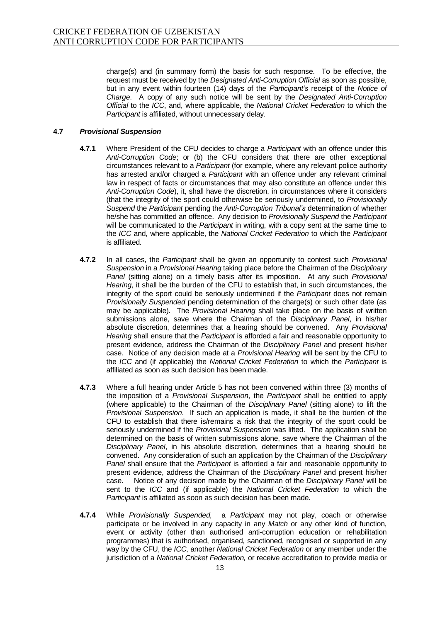charge(s) and (in summary form) the basis for such response. To be effective, the request must be received by the *Designated Anti-Corruption Official* as soon as possible, but in any event within fourteen (14) days of the *Participant's* receipt of the *Notice of Charge*. A copy of any such notice will be sent by the *Designated Anti-Corruption Official* to the *ICC*, and, where applicable, the *National Cricket Federation* to which the **Participant is affiliated, without unnecessary delay.** 

#### **4.7** *Provisional Suspension*

- **4.7.1** Where President of the CFU decides to charge a *Participant* with an offence under this *Anti-Corruption Code*; or (b) the CFU considers that there are other exceptional circumstances relevant to a *Participant* (for example, where any relevant police authority has arrested and/or charged a *Participant* with an offence under any relevant criminal law in respect of facts or circumstances that may also constitute an offence under this *Anti-Corruption Code*), it, shall have the discretion, in circumstances where it considers (that the integrity of the sport could otherwise be seriously undermined, to *Provisionally Suspend* the *Participant* pending the *Anti-Corruption Tribunal's* determination of whether he/she has committed an offence. Any decision to *Provisionally Suspend* the *Participant*  will be communicated to the *Participant* in writing, with a copy sent at the same time to the *ICC* and, where applicable, the *National Cricket Federation* to which the *Participant*  is affiliated*.*
- **4.7.2** In all cases, the *Participant* shall be given an opportunity to contest such *Provisional Suspension* in a *Provisional Hearing* taking place before the Chairman of the *Disciplinary Panel* (sitting alone) on a timely basis after its imposition. At any such *Provisional Hearing*, it shall be the burden of the CFU to establish that, in such circumstances, the integrity of the sport could be seriously undermined if the *Participant* does not remain *Provisionally Suspended* pending determination of the charge(s) or such other date (as may be applicable). The *Provisional Hearing* shall take place on the basis of written submissions alone, save where the Chairman of the *Disciplinary Panel*, in his/her absolute discretion, determines that a hearing should be convened. Any *Provisional Hearing* shall ensure that the *Participant* is afforded a fair and reasonable opportunity to present evidence, address the Chairman of the *Disciplinary Panel* and present his/her case. Notice of any decision made at a *Provisional Hearing* will be sent by the CFU to the *ICC* and (if applicable) the *National Cricket Federation* to which the *Participant* is affiliated as soon as such decision has been made.
- **4.7.3** Where a full hearing under Article 5 has not been convened within three (3) months of the imposition of a *Provisional Suspension*, the *Participant* shall be entitled to apply (where applicable) to the Chairman of the *Disciplinary Panel* (sitting alone) to lift the *Provisional Suspension*. If such an application is made, it shall be the burden of the CFU to establish that there is/remains a risk that the integrity of the sport could be seriously undermined if the *Provisional Suspension* was lifted. The application shall be determined on the basis of written submissions alone, save where the Chairman of the *Disciplinary Panel*, in his absolute discretion, determines that a hearing should be convened. Any consideration of such an application by the Chairman of the *Disciplinary Panel* shall ensure that the *Participant* is afforded a fair and reasonable opportunity to present evidence, address the Chairman of the *Disciplinary Panel* and present his/her case. Notice of any decision made by the Chairman of the *Disciplinary Panel* will be sent to the *ICC* and (if applicable) the *National Cricket Federation* to which the **Participant is affiliated as soon as such decision has been made.**
- **4.7.4** While *Provisionally Suspended,* a *Participant* may not play, coach or otherwise participate or be involved in any capacity in any *Match* or any other kind of function, event or activity (other than authorised anti-corruption education or rehabilitation programmes) that is authorised, organised, sanctioned, recognised or supported in any way by the CFU, the *ICC*, another *National Cricket Federation* or any member under the jurisdiction of a *National Cricket Federation,* or receive accreditation to provide media or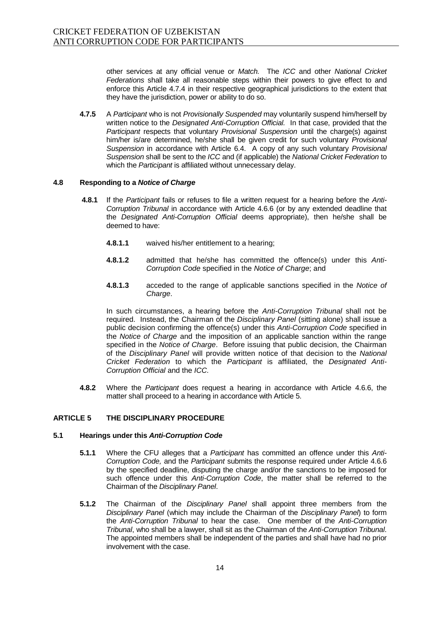other services at any official venue or *Match.* The *ICC* and other *National Cricket Federations* shall take all reasonable steps within their powers to give effect to and enforce this Article 4.7.4 in their respective geographical jurisdictions to the extent that they have the jurisdiction, power or ability to do so.

**4.7.5** A *Participant* who is not *Provisionally Suspended* may voluntarily suspend him/herself by written notice to the *Designated Anti-Corruption Official.* In that case, provided that the *Participant* respects that voluntary *Provisional Suspension* until the charge(s) against him/her is/are determined, he/she shall be given credit for such voluntary *Provisional Suspension* in accordance with Article 6.4. A copy of any such voluntary *Provisional Suspension* shall be sent to the *ICC* and (if applicable) the *National Cricket Federation* to which the *Participant* is affiliated without unnecessary delay.

#### **4.8 Responding to a** *Notice of Charge*

- **4.8.1** If the *Participant* fails or refuses to file a written request for a hearing before the *Anti-Corruption Tribunal* in accordance with Article 4.6.6 (or by any extended deadline that the *Designated Anti-Corruption Official* deems appropriate), then he/she shall be deemed to have:
	- **4.8.1.1** waived his/her entitlement to a hearing;
	- **4.8.1.2** admitted that he/she has committed the offence(s) under this *Anti-Corruption Code* specified in the *Notice of Charge*; and
	- **4.8.1.3** acceded to the range of applicable sanctions specified in the *Notice of Charge*.

In such circumstances, a hearing before the *Anti-Corruption Tribunal* shall not be required. Instead, the Chairman of the *Disciplinary Panel* (sitting alone) shall issue a public decision confirming the offence(s) under this *Anti-Corruption Code* specified in the *Notice of Charge* and the imposition of an applicable sanction within the range specified in the *Notice of Charge*. Before issuing that public decision, the Chairman of the *Disciplinary Panel* will provide written notice of that decision to the *National Cricket Federation* to which the *Participant* is affiliated, the *Designated Anti-Corruption Official* and the *ICC.*

**4.8.2** Where the *Participant* does request a hearing in accordance with Article 4.6.6, the matter shall proceed to a hearing in accordance with Article 5.

#### **ARTICLE 5 THE DISCIPLINARY PROCEDURE**

#### **5.1 Hearings under this** *Anti-Corruption Code*

- **5.1.1** Where the CFU alleges that a *Participant* has committed an offence under this *Anti-Corruption Code,* and the *Participant* submits the response required under Article 4.6.6 by the specified deadline, disputing the charge and/or the sanctions to be imposed for such offence under this *Anti-Corruption Code*, the matter shall be referred to the Chairman of the *Disciplinary Panel*.
- **5.1.2** The Chairman of the *Disciplinary Panel* shall appoint three members from the *Disciplinary Panel* (which may include the Chairman of the *Disciplinary Panel*) to form the *Anti-Corruption Tribunal* to hear the case. One member of the *Anti-Corruption Tribunal*, who shall be a lawyer, shall sit as the Chairman of the *Anti-Corruption Tribunal*. The appointed members shall be independent of the parties and shall have had no prior involvement with the case.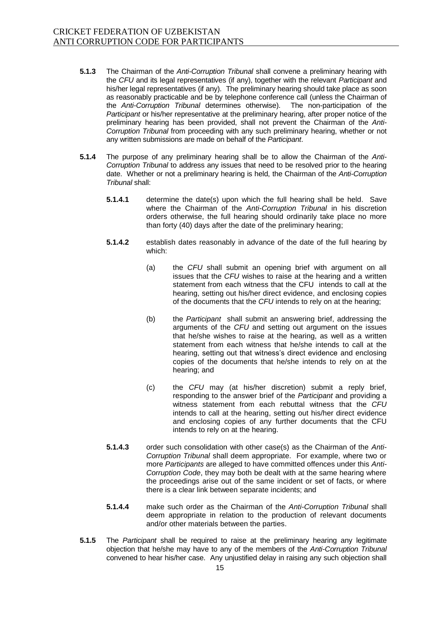- **5.1.3** The Chairman of the *Anti-Corruption Tribunal* shall convene a preliminary hearing with the *CFU* and its legal representatives (if any), together with the relevant *Participant* and his/her legal representatives (if any). The preliminary hearing should take place as soon as reasonably practicable and be by telephone conference call (unless the Chairman of the *Anti-Corruption Tribunal* determines otherwise). The non-participation of the *Participant* or his/her representative at the preliminary hearing, after proper notice of the preliminary hearing has been provided, shall not prevent the Chairman of the *Anti-Corruption Tribunal* from proceeding with any such preliminary hearing, whether or not any written submissions are made on behalf of the *Participant*.
- **5.1.4** The purpose of any preliminary hearing shall be to allow the Chairman of the *Anti-Corruption Tribunal* to address any issues that need to be resolved prior to the hearing date. Whether or not a preliminary hearing is held, the Chairman of the *Anti-Corruption Tribunal* shall:
	- **5.1.4.1** determine the date(s) upon which the full hearing shall be held. Save where the Chairman of the *Anti-Corruption Tribunal* in his discretion orders otherwise, the full hearing should ordinarily take place no more than forty (40) days after the date of the preliminary hearing;
	- **5.1.4.2** establish dates reasonably in advance of the date of the full hearing by which:
		- (a) the *CFU* shall submit an opening brief with argument on all issues that the *CFU* wishes to raise at the hearing and a written statement from each witness that the CFU intends to call at the hearing, setting out his/her direct evidence, and enclosing copies of the documents that the *CFU* intends to rely on at the hearing;
		- (b) the *Participant* shall submit an answering brief, addressing the arguments of the *CFU* and setting out argument on the issues that he/she wishes to raise at the hearing, as well as a written statement from each witness that he/she intends to call at the hearing, setting out that witness's direct evidence and enclosing copies of the documents that he/she intends to rely on at the hearing; and
		- (c) the *CFU* may (at his/her discretion) submit a reply brief, responding to the answer brief of the *Participant* and providing a witness statement from each rebuttal witness that the *CFU* intends to call at the hearing, setting out his/her direct evidence and enclosing copies of any further documents that the CFU intends to rely on at the hearing.
	- **5.1.4.3** order such consolidation with other case(s) as the Chairman of the *Anti-Corruption Tribunal* shall deem appropriate. For example, where two or more *Participants* are alleged to have committed offences under this *Anti-Corruption Code*, they may both be dealt with at the same hearing where the proceedings arise out of the same incident or set of facts, or where there is a clear link between separate incidents; and
	- **5.1.4.4** make such order as the Chairman of the *Anti-Corruption Tribunal* shall deem appropriate in relation to the production of relevant documents and/or other materials between the parties.
- **5.1.5** The *Participant* shall be required to raise at the preliminary hearing any legitimate objection that he/she may have to any of the members of the *Anti-Corruption Tribunal* convened to hear his/her case. Any unjustified delay in raising any such objection shall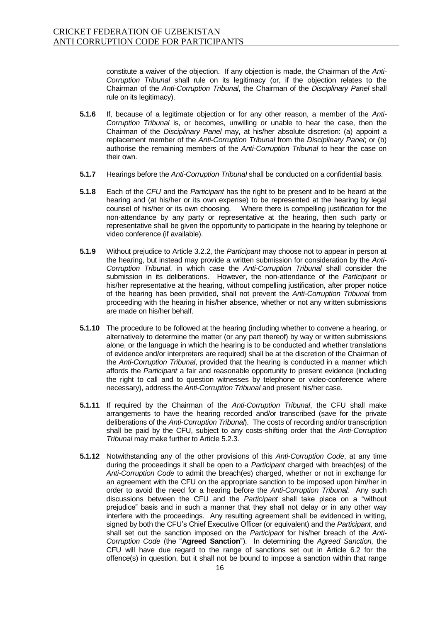constitute a waiver of the objection. If any objection is made, the Chairman of the *Anti-Corruption Tribunal* shall rule on its legitimacy (or, if the objection relates to the Chairman of the *Anti-Corruption Tribunal*, the Chairman of the *Disciplinary Panel* shall rule on its legitimacy).

- **5.1.6** If, because of a legitimate objection or for any other reason, a member of the *Anti-Corruption Tribunal* is, or becomes, unwilling or unable to hear the case, then the Chairman of the *Disciplinary Panel* may, at his/her absolute discretion: (a) appoint a replacement member of the *Anti-Corruption Tribunal* from the *Disciplinary Panel*; or (b) authorise the remaining members of the *Anti-Corruption Tribunal* to hear the case on their own.
- **5.1.7** Hearings before the *Anti-Corruption Tribunal* shall be conducted on a confidential basis.
- **5.1.8** Each of the *CFU* and the *Participant* has the right to be present and to be heard at the hearing and (at his/her or its own expense) to be represented at the hearing by legal counsel of his/her or its own choosing. Where there is compelling justification for the non-attendance by any party or representative at the hearing, then such party or representative shall be given the opportunity to participate in the hearing by telephone or video conference (if available).
- **5.1.9** Without prejudice to Article 3.2.2, the *Participant* may choose not to appear in person at the hearing, but instead may provide a written submission for consideration by the *Anti-Corruption Tribunal*, in which case the *Anti-Corruption Tribunal* shall consider the submission in its deliberations. However, the non-attendance of the *Participant* or his/her representative at the hearing, without compelling justification, after proper notice of the hearing has been provided, shall not prevent the *Anti-Corruption Tribunal* from proceeding with the hearing in his/her absence, whether or not any written submissions are made on his/her behalf.
- **5.1.10** The procedure to be followed at the hearing (including whether to convene a hearing, or alternatively to determine the matter (or any part thereof) by way or written submissions alone, or the language in which the hearing is to be conducted and whether translations of evidence and/or interpreters are required) shall be at the discretion of the Chairman of the *Anti-Corruption Tribunal*, provided that the hearing is conducted in a manner which affords the *Participant* a fair and reasonable opportunity to present evidence (including the right to call and to question witnesses by telephone or video-conference where necessary), address the *Anti-Corruption Tribunal* and present his/her case.
- **5.1.11** If required by the Chairman of the *Anti-Corruption Tribunal*, the CFU shall make arrangements to have the hearing recorded and/or transcribed (save for the private deliberations of the *Anti-Corruption Tribunal*). The costs of recording and/or transcription shall be paid by the CFU, subject to any costs-shifting order that the *Anti-Corruption Tribunal* may make further to Article 5.2.3.
- **5.1.12** Notwithstanding any of the other provisions of this *Anti-Corruption Code*, at any time during the proceedings it shall be open to a *Participant* charged with breach(es) of the *Anti-Corruption Code* to admit the breach(es) charged, whether or not in exchange for an agreement with the CFU on the appropriate sanction to be imposed upon him/her in order to avoid the need for a hearing before the *Anti-Corruption Tribunal.* Any such discussions between the CFU and the *Participant* shall take place on a "without prejudice" basis and in such a manner that they shall not delay or in any other way interfere with the proceedings. Any resulting agreement shall be evidenced in writing, signed by both the CFU's Chief Executive Officer (or equivalent) and the *Participant,* and shall set out the sanction imposed on the *Participant* for his/her breach of the *Anti-Corruption Code* (the "**Agreed Sanction**"). In determining the *Agreed Sanction,* the CFU will have due regard to the range of sanctions set out in Article 6.2 for the offence(s) in question, but it shall not be bound to impose a sanction within that range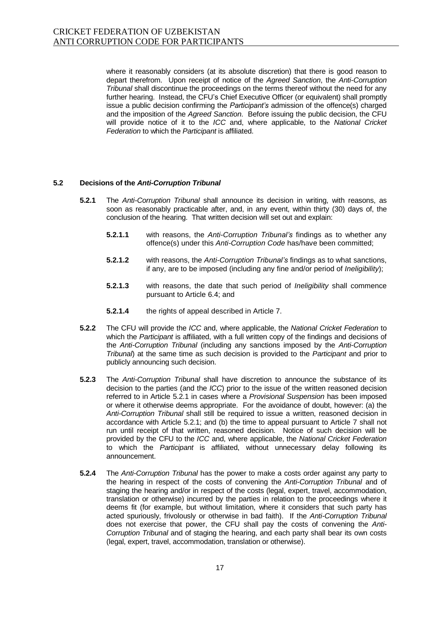where it reasonably considers (at its absolute discretion) that there is good reason to depart therefrom. Upon receipt of notice of the *Agreed Sanction*, the *Anti-Corruption Tribunal* shall discontinue the proceedings on the terms thereof without the need for any further hearing. Instead, the CFU's Chief Executive Officer (or equivalent) shall promptly issue a public decision confirming the *Participant's* admission of the offence(s) charged and the imposition of the *Agreed Sanction*. Before issuing the public decision, the CFU will provide notice of it to the *ICC* and, where applicable, to the *National Cricket Federation* to which the *Participant* is affiliated.

#### **5.2 Decisions of the** *Anti-Corruption Tribunal*

- **5.2.1** The *Anti-Corruption Tribunal* shall announce its decision in writing, with reasons, as soon as reasonably practicable after, and, in any event, within thirty (30) days of, the conclusion of the hearing. That written decision will set out and explain:
	- **5.2.1.1** with reasons, the *Anti-Corruption Tribunal's* findings as to whether any offence(s) under this *Anti-Corruption Code* has/have been committed;
	- **5.2.1.2** with reasons, the *Anti-Corruption Tribunal's* findings as to what sanctions, if any, are to be imposed (including any fine and/or period of *Ineligibility*);
	- **5.2.1.3** with reasons, the date that such period of *Ineligibility* shall commence pursuant to Article 6.4; and
	- **5.2.1.4** the rights of appeal described in Article 7.
- **5.2.2** The CFU will provide the *ICC* and, where applicable, the *National Cricket Federation* to which the *Participant* is affiliated, with a full written copy of the findings and decisions of the *Anti-Corruption Tribunal* (including any sanctions imposed by the *Anti-Corruption Tribunal*) at the same time as such decision is provided to the *Participant* and prior to publicly announcing such decision.
- **5.2.3** The *Anti-Corruption Tribunal* shall have discretion to announce the substance of its decision to the parties (and the *ICC*) prior to the issue of the written reasoned decision referred to in Article 5.2.1 in cases where a *Provisional Suspension* has been imposed or where it otherwise deems appropriate. For the avoidance of doubt, however: (a) the *Anti-Corruption Tribunal* shall still be required to issue a written, reasoned decision in accordance with Article 5.2.1; and (b) the time to appeal pursuant to Article 7 shall not run until receipt of that written, reasoned decision. Notice of such decision will be provided by the CFU to the *ICC* and, where applicable, the *National Cricket Federation*  to which the *Participant* is affiliated, without unnecessary delay following its announcement.
- **5.2.4** The *Anti-Corruption Tribunal* has the power to make a costs order against any party to the hearing in respect of the costs of convening the *Anti-Corruption Tribunal* and of staging the hearing and/or in respect of the costs (legal, expert, travel, accommodation, translation or otherwise) incurred by the parties in relation to the proceedings where it deems fit (for example, but without limitation, where it considers that such party has acted spuriously, frivolously or otherwise in bad faith). If the *Anti-Corruption Tribunal* does not exercise that power, the CFU shall pay the costs of convening the *Anti-Corruption Tribunal* and of staging the hearing, and each party shall bear its own costs (legal, expert, travel, accommodation, translation or otherwise).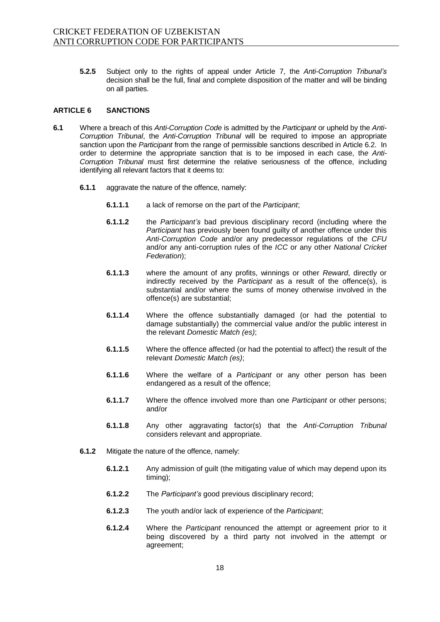**5.2.5** Subject only to the rights of appeal under Article 7, the *Anti-Corruption Tribunal's* decision shall be the full, final and complete disposition of the matter and will be binding on all parties.

#### **ARTICLE 6 SANCTIONS**

- **6.1** Where a breach of this *Anti-Corruption Code* is admitted by the *Participant* or upheld by the *Anti-Corruption Tribunal*, the *Anti-Corruption Tribunal* will be required to impose an appropriate sanction upon the *Participant* from the range of permissible sanctions described in Article 6.2. In order to determine the appropriate sanction that is to be imposed in each case, th*e Anti-Corruption Tribunal* must first determine the relative seriousness of the offence, including identifying all relevant factors that it deems to:
	- **6.1.1** aggravate the nature of the offence, namely:
		- **6.1.1.1** a lack of remorse on the part of the *Participant*;
		- **6.1.1.2** the *Participant's* bad previous disciplinary record (including where the *Participant* has previously been found guilty of another offence under this *Anti-Corruption Code* and/or any predecessor regulations of the *CFU* and/or any anti-corruption rules of the *ICC* or any other *National Cricket Federation*);
		- **6.1.1.3** where the amount of any profits, winnings or other *Reward*, directly or indirectly received by the *Participant* as a result of the offence(s), is substantial and/or where the sums of money otherwise involved in the offence(s) are substantial;
		- **6.1.1.4** Where the offence substantially damaged (or had the potential to damage substantially) the commercial value and/or the public interest in the relevant *Domestic Match (es)*;
		- **6.1.1.5** Where the offence affected (or had the potential to affect) the result of the relevant *Domestic Match (es)*;
		- **6.1.1.6** Where the welfare of a *Participant* or any other person has been endangered as a result of the offence;
		- **6.1.1.7** Where the offence involved more than one *Participant* or other persons; and/or
		- **6.1.1.8** Any other aggravating factor(s) that the *Anti-Corruption Tribunal*  considers relevant and appropriate.
	- **6.1.2** Mitigate the nature of the offence, namely:
		- **6.1.2.1** Any admission of guilt (the mitigating value of which may depend upon its timing);
		- **6.1.2.2** The *Participant's* good previous disciplinary record;
		- **6.1.2.3** The youth and/or lack of experience of the *Participant*;
		- **6.1.2.4** Where the *Participant* renounced the attempt or agreement prior to it being discovered by a third party not involved in the attempt or agreement;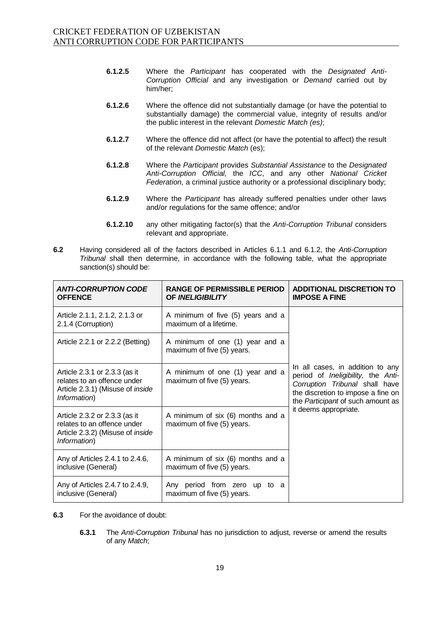- **6.1.2.5** Where the *Participant* has cooperated with the *Designated Anti-Corruption Official* and any investigation or *Demand* carried out by him/her;
- **6.1.2.6** Where the offence did not substantially damage (or have the potential to substantially damage) the commercial value, integrity of results and/or the public interest in the relevant *Domestic Match (es)*;
- **6.1.2.7** Where the offence did not affect (or have the potential to affect) the result of the relevant *Domestic Match* (es);
- **6.1.2.8** Where the *Participant* provides *Substantial Assistance* to the *Designated Anti-Corruption Official,* the *ICC*, and any other *National Cricket Federation,* a criminal justice authority or a professional disciplinary body;
- **6.1.2.9** Where the *Participant* has already suffered penalties under other laws and/or regulations for the same offence; and/or
- **6.1.2.10** any other mitigating factor(s) that the *Anti-Corruption Tribunal* considers relevant and appropriate.
- **6.2** Having considered all of the factors described in Articles 6.1.1 and 6.1.2, the *Anti-Corruption Tribunal* shall then determine, in accordance with the following table, what the appropriate sanction(s) should be:

| <b>ANTI-CORRUPTION CODE</b><br><b>OFFENCE</b>                                                                           | <b>RANGE OF PERMISSIBLE PERIOD</b><br><b>OF INELIGIBILITY</b>   | <b>ADDITIONAL DISCRETION TO</b><br><b>IMPOSE A FINE</b>                                                                                                                                                      |  |
|-------------------------------------------------------------------------------------------------------------------------|-----------------------------------------------------------------|--------------------------------------------------------------------------------------------------------------------------------------------------------------------------------------------------------------|--|
| Article 2.1.1, 2.1.2, 2.1.3 or<br>2.1.4 (Corruption)                                                                    | A minimum of five (5) years and a<br>maximum of a lifetime.     |                                                                                                                                                                                                              |  |
| Article 2.2.1 or 2.2.2 (Betting)                                                                                        | A minimum of one (1) year and a<br>maximum of five (5) years.   | In all cases, in addition to any<br>period of Ineligibility, the Anti-<br>Corruption Tribunal shall have<br>the discretion to impose a fine on<br>the Participant of such amount as<br>it deems appropriate. |  |
| Article 2.3.1 or 2.3.3 (as it<br>relates to an offence under<br>Article 2.3.1) (Misuse of <i>inside</i><br>Information) | A minimum of one (1) year and a<br>maximum of five (5) years.   |                                                                                                                                                                                                              |  |
| Article 2.3.2 or 2.3.3 (as it<br>relates to an offence under<br>Article 2.3.2) (Misuse of <i>inside</i><br>Information) | A minimum of six (6) months and a<br>maximum of five (5) years. |                                                                                                                                                                                                              |  |
| Any of Articles 2.4.1 to 2.4.6,<br>inclusive (General)                                                                  | A minimum of six (6) months and a<br>maximum of five (5) years. |                                                                                                                                                                                                              |  |
| Any of Articles 2.4.7 to 2.4.9,<br>inclusive (General)                                                                  | Any period from zero up to a<br>maximum of five (5) years.      |                                                                                                                                                                                                              |  |

- **6.3** For the avoidance of doubt:
	- **6.3.1** The *Anti-Corruption Tribunal* has no jurisdiction to adjust, reverse or amend the results of any *Match*;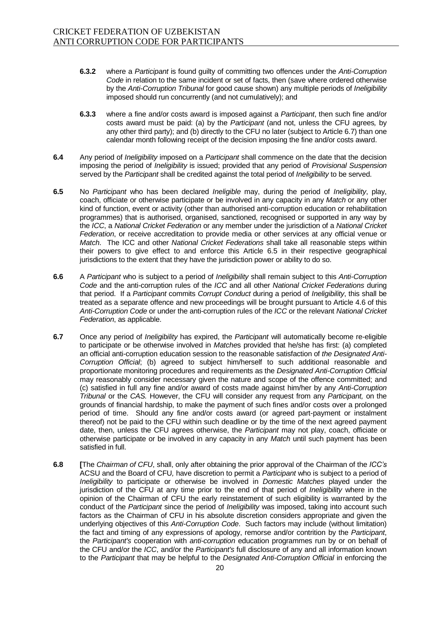- **6.3.2** where a *Participant* is found guilty of committing two offences under the *Anti-Corruption Code* in relation to the same incident or set of facts, then (save where ordered otherwise by the *Anti-Corruption Tribunal* for good cause shown) any multiple periods of *Ineligibility* imposed should run concurrently (and not cumulatively); and
- **6.3.3** where a fine and/or costs award is imposed against a *Participant*, then such fine and/or costs award must be paid: (a) by the *Participant* (and not, unless the CFU agrees*,* by any other third party); and (b) directly to the CFU no later (subject to Article 6.7) than one calendar month following receipt of the decision imposing the fine and/or costs award.
- **6.4** Any period of *Ineligibility* imposed on a *Participant* shall commence on the date that the decision imposing the period of *Ineligibility* is issued; provided that any period of *Provisional Suspension* served by the *Participant* shall be credited against the total period of *Ineligibility* to be served.
- **6.5** No *Participant* who has been declared *Ineligible* may, during the period of *Ineligibility*, play, coach, officiate or otherwise participate or be involved in any capacity in any *Match* or any other kind of function, event or activity (other than authorised anti-corruption education or rehabilitation programmes) that is authorised, organised, sanctioned, recognised or supported in any way by the *ICC*, a *National Cricket Federation* or any member under the jurisdiction of a *National Cricket Federation*, or receive accreditation to provide media or other services at any official venue or *Match*. The ICC and other *National Cricket Federations* shall take all reasonable steps within their powers to give effect to and enforce this Article 6.5 in their respective geographical jurisdictions to the extent that they have the jurisdiction power or ability to do so.
- **6.6** A *Participant* who is subject to a period of *Ineligibility* shall remain subject to this *Anti-Corruption Code* and the anti-corruption rules of the *ICC* and all other *National Cricket Federations* during that period. If a *Participant* commits *Corrupt Conduct* during a period of *Ineligibility*, this shall be treated as a separate offence and new proceedings will be brought pursuant to Article 4.6 of this *Anti-Corruption Code* or under the anti-corruption rules of the *ICC* or the relevant *National Cricket Federation*, as applicable.
- **6.7** Once any period of *Ineligibility* has expired, the *Participant* will automatically become re-eligible to participate or be otherwise involved in *Matche*s provided that he/she has first: (a) completed an official anti-corruption education session to the reasonable satisfaction of *the Designated Anti-Corruption Official*; (b) agreed to subject him/herself to such additional reasonable and proportionate monitoring procedures and requirements as the *Designated Anti-Corruption Official*  may reasonably consider necessary given the nature and scope of the offence committed; and (c) satisfied in full any fine and/or award of costs made against him/her by any *Anti-Corruption Tribunal* or the *CAS.* However, the CFU will consider any request from any *Participant,* on the grounds of financial hardship, to make the payment of such fines and/or costs over a prolonged period of time. Should any fine and/or costs award (or agreed part-payment or instalment thereof) not be paid to the CFU within such deadline or by the time of the next agreed payment date, then, unless the CFU agrees otherwise, the *Participant* may not play, coach, officiate or otherwise participate or be involved in any capacity in any *Match* until such payment has been satisfied in full.
- **6.8 [**The *Chairman of CFU*, shall, only after obtaining the prior approval of the Chairman of the *ICC's* ACSU and the Board of CFU*,* have discretion to permit a *Participant* who is subject to a period of *Ineligibility* to participate or otherwise be involved in *Domestic Matches* played under the jurisdiction of the CFU at any time prior to the end of that period of *Ineligibility* where in the opinion of the Chairman of CFU the early reinstatement of such eligibility is warranted by the conduct of the *Participant* since the period of *Ineligibility* was imposed, taking into account such factors as the Chairman of CFU in his absolute discretion considers appropriate and given the underlying objectives of this *Anti-Corruption Code*. Such factors may include (without limitation) the fact and timing of any expressions of apology, remorse and/or contrition by the *Participant*, the *Participant's* cooperation with *anti-corruption* education programmes run by or on behalf of the CFU and/or the *ICC*, and/or the *Participant's* full disclosure of any and all information known to the *Participant* that may be helpful to the *Designated Anti-Corruption Official* in enforcing the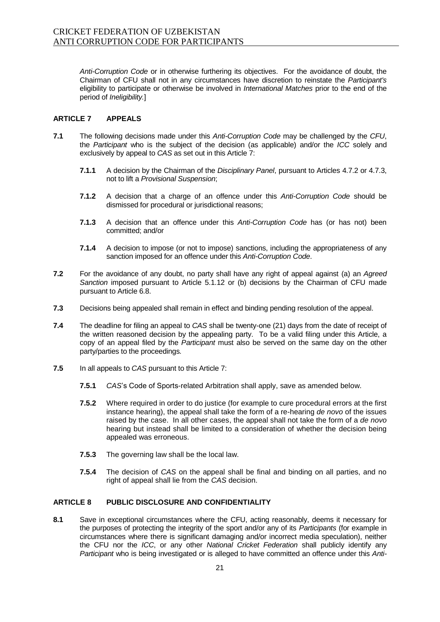*Anti-Corruption Code* or in otherwise furthering its objectives. For the avoidance of doubt, the Chairman of CFU shall not in any circumstances have discretion to reinstate the *Participant's*  eligibility to participate or otherwise be involved in *International Matches* prior to the end of the period of *Ineligibility.*]

#### **ARTICLE 7 APPEALS**

- **7.1** The following decisions made under this *Anti-Corruption Code* may be challenged by the *CFU*, the *Participant* who is the subject of the decision (as applicable) and/or the *ICC* solely and exclusively by appeal to *CAS* as set out in this Article 7:
	- **7.1.1** A decision by the Chairman of the *Disciplinary Panel*, pursuant to Articles 4.7.2 or 4.7.3, not to lift a *Provisional Suspension*;
	- **7.1.2** A decision that a charge of an offence under this *Anti-Corruption Code* should be dismissed for procedural or jurisdictional reasons;
	- **7.1.3** A decision that an offence under this *Anti-Corruption Code* has (or has not) been committed; and/or
	- **7.1.4** A decision to impose (or not to impose) sanctions, including the appropriateness of any sanction imposed for an offence under this *Anti-Corruption Code*.
- **7.2** For the avoidance of any doubt, no party shall have any right of appeal against (a) an *Agreed Sanction* imposed pursuant to Article 5.1.12 or (b) decisions by the Chairman of CFU made pursuant to Article 6.8.
- **7.3** Decisions being appealed shall remain in effect and binding pending resolution of the appeal.
- **7.4** The deadline for filing an appeal to *CAS* shall be twenty-one (21) days from the date of receipt of the written reasoned decision by the appealing party. To be a valid filing under this Article, a copy of an appeal filed by the *Participant* must also be served on the same day on the other party/parties to the proceedings*.*
- **7.5** In all appeals to *CAS* pursuant to this Article 7:
	- **7.5.1** *CAS*'s Code of Sports-related Arbitration shall apply, save as amended below.
	- **7.5.2** Where required in order to do justice (for example to cure procedural errors at the first instance hearing), the appeal shall take the form of a re-hearing *de novo* of the issues raised by the case. In all other cases, the appeal shall not take the form of a *de novo* hearing but instead shall be limited to a consideration of whether the decision being appealed was erroneous.
	- **7.5.3** The governing law shall be the local law.
	- **7.5.4** The decision of *CAS* on the appeal shall be final and binding on all parties, and no right of appeal shall lie from the *CAS* decision.

#### **ARTICLE 8 PUBLIC DISCLOSURE AND CONFIDENTIALITY**

**8.1** Save in exceptional circumstances where the CFU, acting reasonably, deems it necessary for the purposes of protecting the integrity of the sport and/or any of its *Participants* (for example in circumstances where there is significant damaging and/or incorrect media speculation), neither the CFU nor the *ICC*, or any other *National Cricket Federation* shall publicly identify any *Participant* who is being investigated or is alleged to have committed an offence under this *Anti-*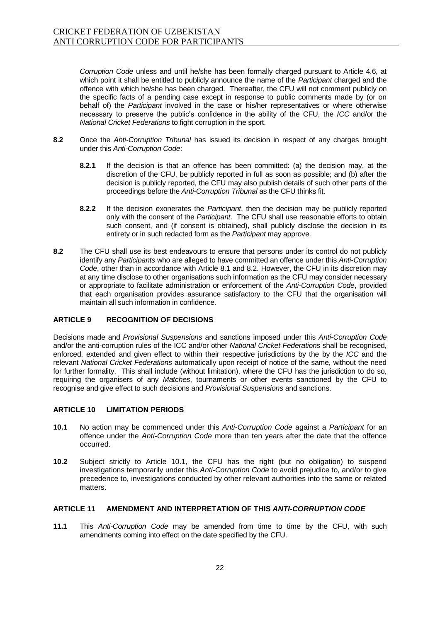*Corruption Code* unless and until he/she has been formally charged pursuant to Article 4.6, at which point it shall be entitled to publicly announce the name of the *Participant* charged and the offence with which he/she has been charged. Thereafter, the CFU will not comment publicly on the specific facts of a pending case except in response to public comments made by (or on behalf of) the *Participant* involved in the case or his/her representatives or where otherwise necessary to preserve the public's confidence in the ability of the CFU, the *ICC* and/or the *National Cricket Federations* to fight corruption in the sport.

- **8.2** Once the *Anti-Corruption Tribunal* has issued its decision in respect of any charges brought under this *Anti-Corruption Code*:
	- **8.2.1** If the decision is that an offence has been committed: (a) the decision may, at the discretion of the CFU, be publicly reported in full as soon as possible; and (b) after the decision is publicly reported, the CFU may also publish details of such other parts of the proceedings before the *Anti-Corruption Tribunal* as the CFU thinks fit.
	- **8.2.2** If the decision exonerates the *Participant*, then the decision may be publicly reported only with the consent of the *Participant*. The CFU shall use reasonable efforts to obtain such consent, and (if consent is obtained), shall publicly disclose the decision in its entirety or in such redacted form as the *Participant* may approve.
- **8.2** The CFU shall use its best endeavours to ensure that persons under its control do not publicly identify any *Participants* who are alleged to have committed an offence under this *Anti-Corruption Code*, other than in accordance with Article 8.1 and 8.2. However, the CFU in its discretion may at any time disclose to other organisations such information as the CFU may consider necessary or appropriate to facilitate administration or enforcement of the *Anti-Corruption Code*, provided that each organisation provides assurance satisfactory to the CFU that the organisation will maintain all such information in confidence.

#### **ARTICLE 9 RECOGNITION OF DECISIONS**

Decisions made and *Provisional Suspensions* and sanctions imposed under this *Anti-Corruption Code*  and/or the anti-corruption rules of the ICC and/or other *National Cricket Federations* shall be recognised, enforced, extended and given effect to within their respective jurisdictions by the by the *ICC* and the relevant *National Cricket Federations* automatically upon receipt of notice of the same, without the need for further formality. This shall include (without limitation), where the CFU has the jurisdiction to do so, requiring the organisers of any *Matches*, tournaments or other events sanctioned by the CFU to recognise and give effect to such decisions and *Provisional Suspensions* and sanctions.

#### **ARTICLE 10 LIMITATION PERIODS**

- **10.1** No action may be commenced under this *Anti-Corruption Code* against a *Participant* for an offence under the *Anti-Corruption Code* more than ten years after the date that the offence occurred.
- **10.2** Subject strictly to Article 10.1, the CFU has the right (but no obligation) to suspend investigations temporarily under this *Anti-Corruption Code* to avoid prejudice to, and/or to give precedence to, investigations conducted by other relevant authorities into the same or related matters.

#### **ARTICLE 11 AMENDMENT AND INTERPRETATION OF THIS** *ANTI-CORRUPTION CODE*

**11.1** This *Anti-Corruption Code* may be amended from time to time by the CFU, with such amendments coming into effect on the date specified by the CFU.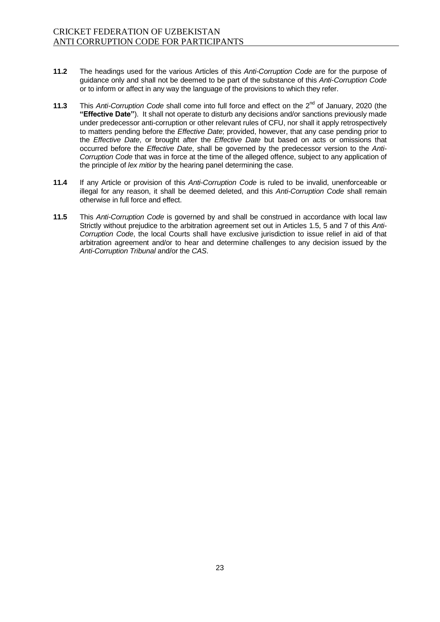- **11.2** The headings used for the various Articles of this *Anti-Corruption Code* are for the purpose of guidance only and shall not be deemed to be part of the substance of this *Anti-Corruption Code* or to inform or affect in any way the language of the provisions to which they refer.
- **11.3** This *Anti-Corruption Code* shall come into full force and effect on the 2<sup>nd</sup> of January, 2020 (the **"Effective Date"**). It shall not operate to disturb any decisions and/or sanctions previously made under predecessor anti-corruption or other relevant rules of CFU, nor shall it apply retrospectively to matters pending before the *Effective Date*; provided, however, that any case pending prior to the *Effective Date*, or brought after the *Effective Date* but based on acts or omissions that occurred before the *Effective Date*, shall be governed by the predecessor version to the *Anti-Corruption Code* that was in force at the time of the alleged offence, subject to any application of the principle of *lex mitior* by the hearing panel determining the case.
- **11.4** If any Article or provision of this *Anti-Corruption Code* is ruled to be invalid, unenforceable or illegal for any reason, it shall be deemed deleted, and this *Anti-Corruption Code* shall remain otherwise in full force and effect.
- **11.5** This *Anti-Corruption Code* is governed by and shall be construed in accordance with local law Strictly without prejudice to the arbitration agreement set out in Articles 1.5, 5 and 7 of this *Anti-Corruption Code*, the local Courts shall have exclusive jurisdiction to issue relief in aid of that arbitration agreement and/or to hear and determine challenges to any decision issued by the *Anti-Corruption Tribunal* and/or the *CAS*.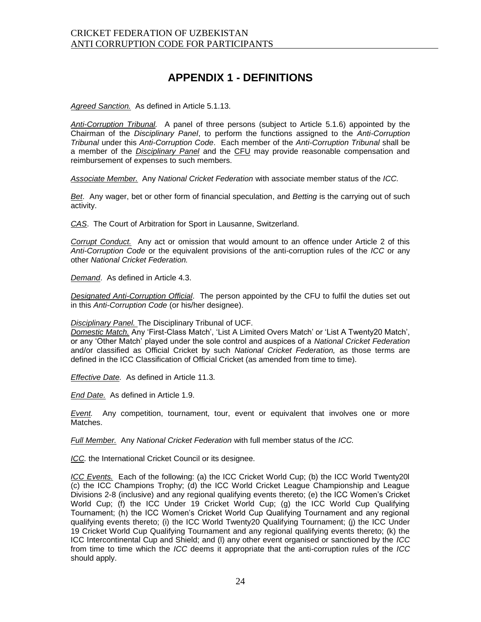### **APPENDIX 1 - DEFINITIONS**

*Agreed Sanction.*As defined in Article 5.1.13.

*Anti-Corruption Tribunal.* A panel of three persons (subject to Article 5.1.6) appointed by the Chairman of the *Disciplinary Panel*, to perform the functions assigned to the *Anti-Corruption Tribunal* under this *Anti-Corruption Code*. Each member of the *Anti-Corruption Tribunal* shall be a member of the *Disciplinary Panel* and the CFU may provide reasonable compensation and reimbursement of expenses to such members.

*Associate Member.* Any *National Cricket Federation* with associate member status of the *ICC.*

*Bet*. Any wager, bet or other form of financial speculation, and *Betting* is the carrying out of such activity.

*CAS*. The Court of Arbitration for Sport in Lausanne, Switzerland.

*Corrupt Conduct.* Any act or omission that would amount to an offence under Article 2 of this *Anti-Corruption Code* or the equivalent provisions of the anti-corruption rules of the *ICC* or any other *National Cricket Federation.*

*Demand*. As defined in Article 4.3.

*Designated Anti-Corruption Official*. The person appointed by the CFU to fulfil the duties set out in this *Anti-Corruption Code* (or his/her designee).

#### *Disciplinary Panel.* The Disciplinary Tribunal of UCF.

*Domestic Match.* Any 'First-Class Match', 'List A Limited Overs Match' or 'List A Twenty20 Match', or any 'Other Match' played under the sole control and auspices of a *National Cricket Federation*  and/or classified as Official Cricket by such *National Cricket Federation,* as those terms are defined in the ICC Classification of Official Cricket (as amended from time to time).

*Effective Date.* As defined in Article 11.3.

*End Date.* As defined in Article 1.9.

*Event.* Any competition, tournament, tour, event or equivalent that involves one or more Matches.

*Full Member.* Any *National Cricket Federation* with full member status of the *ICC.*

*ICC.* the International Cricket Council or its designee.

*ICC Events.* Each of the following: (a) the ICC Cricket World Cup; (b) the ICC World Twenty20l (c) the ICC Champions Trophy; (d) the ICC World Cricket League Championship and League Divisions 2-8 (inclusive) and any regional qualifying events thereto; (e) the ICC Women's Cricket World Cup; (f) the ICC Under 19 Cricket World Cup; (g) the ICC World Cup Qualifying Tournament; (h) the ICC Women's Cricket World Cup Qualifying Tournament and any regional qualifying events thereto; (i) the ICC World Twenty20 Qualifying Tournament; (j) the ICC Under 19 Cricket World Cup Qualifying Tournament and any regional qualifying events thereto; (k) the ICC Intercontinental Cup and Shield; and (l) any other event organised or sanctioned by the *ICC*  from time to time which the *ICC* deems it appropriate that the anti-corruption rules of the *ICC*  should apply.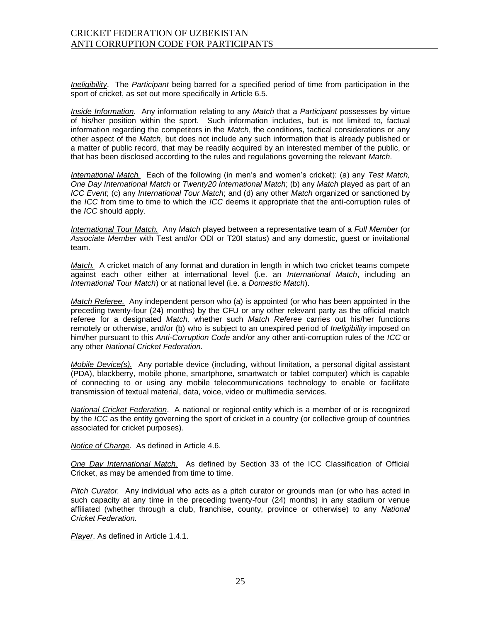*Ineligibility*. The *Participant* being barred for a specified period of time from participation in the sport of cricket, as set out more specifically in Article 6.5.

*Inside Information*. Any information relating to any *Match* that a *Participant* possesses by virtue of his/her position within the sport. Such information includes, but is not limited to, factual information regarding the competitors in the *Match*, the conditions, tactical considerations or any other aspect of the *Match*, but does not include any such information that is already published or a matter of public record, that may be readily acquired by an interested member of the public, or that has been disclosed according to the rules and regulations governing the relevant *Match*.

*International Match.* Each of the following (in men's and women's cricket): (a) any *Test Match, One Day International Match* or *Twenty20 International Match*; (b) any *Match* played as part of an *ICC Event*; (c) any *International Tour Match*; and (d) any other *Match* organized or sanctioned by the *ICC* from time to time to which the *ICC* deems it appropriate that the anti-corruption rules of the *ICC* should apply.

*International Tour Match.* Any *Match* played between a representative team of a *Full Member* (or *Associate Member* with Test and/or ODI or T20I status) and any domestic, guest or invitational team.

*Match.* A cricket match of any format and duration in length in which two cricket teams compete against each other either at international level (i.e. an *International Match*, including an *International Tour Match*) or at national level (i.e. a *Domestic Match*).

*Match Referee.* Any independent person who (a) is appointed (or who has been appointed in the preceding twenty-four (24) months) by the CFU or any other relevant party as the official match referee for a designated *Match,* whether such *Match Referee* carries out his/her functions remotely or otherwise, and/or (b) who is subject to an unexpired period of *Ineligibility* imposed on him/her pursuant to this *Anti-Corruption Code* and/or any other anti-corruption rules of the *ICC* or any other *National Cricket Federation.*

*Mobile Device(s).* Any portable device (including, without limitation, a personal digital assistant (PDA), blackberry, mobile phone, smartphone, smartwatch or tablet computer) which is capable of connecting to or using any mobile telecommunications technology to enable or facilitate transmission of textual material, data, voice, video or multimedia services.

*National Cricket Federation*. A national or regional entity which is a member of or is recognized by the *ICC* as the entity governing the sport of cricket in a country (or collective group of countries associated for cricket purposes).

*Notice of Charge*. As defined in Article 4.6.

*One Day International Match.* As defined by Section 33 of the ICC Classification of Official Cricket, as may be amended from time to time.

*Pitch Curator.* Any individual who acts as a pitch curator or grounds man (or who has acted in such capacity at any time in the preceding twenty-four (24) months) in any stadium or venue affiliated (whether through a club, franchise, county, province or otherwise) to any *National Cricket Federation.*

*Player*. As defined in Article 1.4.1.